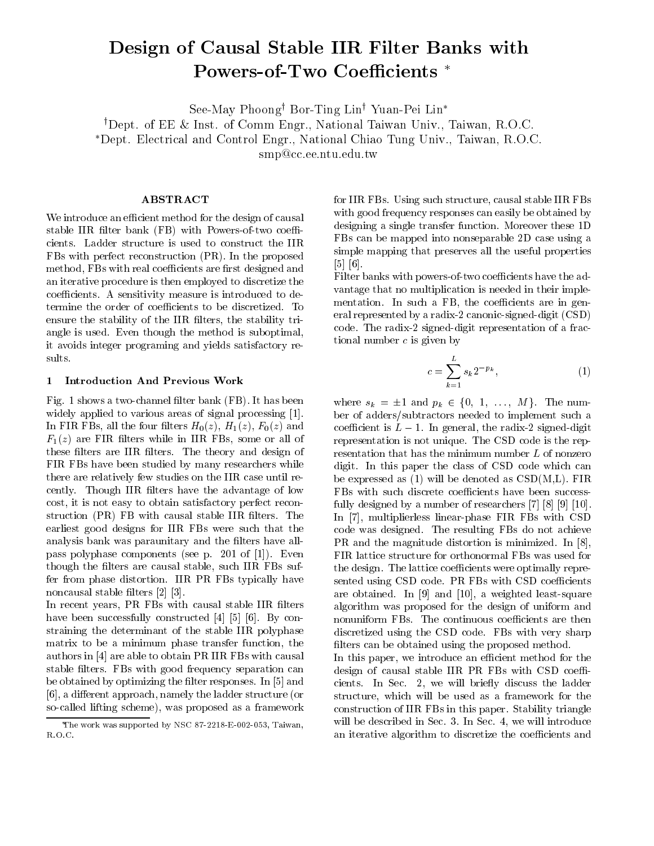# Design of Causal Stable IIR Filter Banks with Powers-of-Two Coefficients

See-May Phoong<sup>y</sup> Bor-Ting Liny Yuan-Pei Lin

yDept. of EE & Inst. of Comm Engr., National Taiwan Univ., Taiwan, R.O.C.

Dept. Electrical and Control Engr., National Chiao Tung Univ., Taiwan, R.O.C.

smp@cc.ee.ntu.edu.tw

## ABSTRACT

We introduce an efficient method for the design of causal stable IIR filter bank  $(FB)$  with Powers-of-two coefficients. Ladder structure is used to construct the IIR FBs with perfect reconstruction (PR). In the proposed method, FBs with real coefficients are first designed and an iterative procedure is then employed to discretize the coefficients. A sensitivity measure is introduced to determine the order of coefficients to be discretized. To ensure the stability of the IIR filters, the stability triangle is used. Even though the method is suboptimal, it avoids integer programing and yields satisfactory results.

#### 1 Introduction And Previous Work

Fig. 1 shows a two-channel filter bank (FB). It has been widely applied to various areas of signal processing [1]. In FIR FBs, all the four filters  $H_0(z)$ ,  $H_1(z)$ ,  $F_0(z)$  and  $F_1(z)$  are FIR filters while in IIR FBs, some or all of these filters are IIR filters. The theory and design of FIR FBs have been studied by many researchers while there are relatively few studies on the IIR case until recently. Though IIR filters have the advantage of low cost, it is not easy to obtain satisfactory perfect reconstruction (PR) FB with causal stable IIR filters. The earliest good designs for IIR FBs were such that the analysis bank was paraunitary and the filters have allpass polyphase components (see p.201 of [1]). Even though the filters are causal stable, such IIR FBs suffer from phase distortion. IIR PR FBs typically have noncausal stable filters  $[2]$   $[3]$ .

In recent years, PR FBs with causal stable IIR filters have been successfully constructed [4] [5] [6]. By constraining the determinant of the stable IIR polyphase matrix to be a minimum phase transfer function, the authors in [4] are able to obtain PR IIR FBs with causal stable filters. FBs with good frequency separation can be obtained by optimizing the filter responses. In [5] and [6], a different approach, namely the ladder structure (or so-called lifting scheme), was proposed as a framework for IIR FBs. Using such structure, causal stable IIR FBs with good frequency responses can easily be obtained by designing a single transfer function. Moreover these 1D FBs can be mapped into nonseparable 2D case using a simple mapping that preserves all the useful properties [5] [6].

Filter banks with powers-of-two coefficients have the advantage that no multiplication is needed in their implementation. In such a FB, the coefficients are in general represented by a radix-2 canonic-signed-digit (CSD) code. The radix-2 signed-digit representation of a fractional number  $c$  is given by

$$
c = \sum_{k=1}^{L} s_k 2^{-p_k},\tag{1}
$$

where  $s_k = \pm 1$  and  $p_k \in \{0, 1, \ldots, M\}$ . The number of adders/subtractors needed to implement such a coefficient is  $L - 1$ . In general, the radix-2 signed-digit representation is not unique. The CSD code is the representation that has the minimum number L of nonzero digit. In this paper the class of CSD code which can be expressed as  $(1)$  will be denoted as  $CSD(M,L)$ . FIR FBs with such discrete coefficients have been successfully designed by a number of researchers [7] [8] [9] [10]. In [7], multiplierless linear-phase FIR FBs with CSD code was designed. The resulting FBs do not achieve PR and the magnitude distortion is minimized. In [8], FIR lattice structure for orthonormal FBs was used for the design. The lattice coefficients were optimally represented using CSD code. PR FBs with CSD coefficients are obtained. In [9] and [10], a weighted least-square algorithm was proposed for the design of uniform and nonuniform FBs. The continuous coefficients are then discretized using the CSD code. FBs with very sharp filters can be obtained using the proposed method.

In this paper, we introduce an efficient method for the design of causal stable IIR PR FBs with CSD coefficients. In Sec. 2, we will briefly discuss the ladder structure, which will be used as a framework for the construction of IIR FBs in this paper. Stability triangle will be described in Sec. 3. In Sec. 4, we will introduce an iterative algorithm to discretize the coefficients and

The work was supported by NSC 87-2218-E-002-053, Taiwan, R.O.C.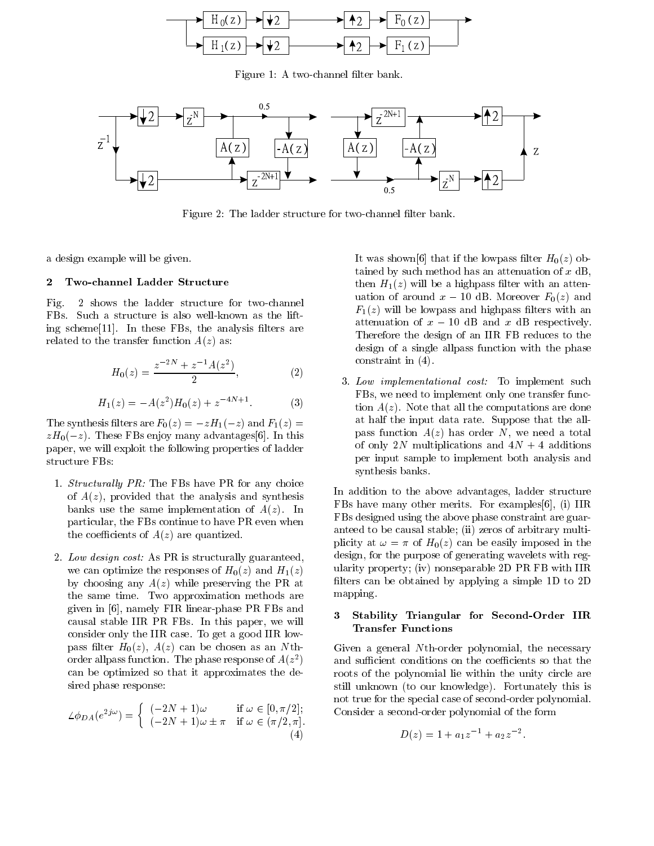

Figure 1: A two-channel filter bank.



Figure 2: The ladder structure for two-channel filter bank.

a design example will be given.

### 2 Two-channel Ladder Structure

Fig. 2 shows the ladder structure for two-channel FBs. Such a structure is also well-known as the lifting scheme $[11]$ . In these FBs, the analysis filters are related to the transfer function  $A(z)$  as:

$$
H_0(z) = \frac{z^{-2N} + z^{-1}A(z^2)}{2},\tag{2}
$$

$$
H_1(z) = -A(z^2)H_0(z) + z^{-4N+1}.
$$
 (3)

The synthesis filters are  $F_0(z) = -zH_1(-z)$  and  $F_1(z) =$  $zH_0(-z)$ . These FBs enjoy many advantages[6]. In this paper, we will exploit the following properties of ladder structure FBs:

- 1. Structurally PR: The FBs have PR for any choice of  $A(z)$ , provided that the analysis and synthesis banks use the same implementation of  $A(z)$ . In particular, the FBs continue to have PR even when the coefficients of  $A(z)$  are quantized.
- 2. Low design cost: As PR is structurally guaranteed, we can optimize the responses of  $H_0(z)$  and  $H_1(z)$ by choosing any  $A(z)$  while preserving the PR at the same time. Two approximation methods are given in  $[6]$ , namely FIR linear-phase PR FBs and<br> $\frac{1}{2}$   $\frac{1}{2}$   $\frac{1}{2}$   $\frac{1}{2}$   $\frac{1}{2}$   $\frac{1}{2}$   $\frac{1}{2}$   $\frac{1}{2}$   $\frac{1}{2}$   $\frac{1}{2}$   $\frac{1}{2}$   $\frac{1}{2}$   $\frac{1}{2}$   $\frac{1}{2}$   $\frac{1}{2}$   $\frac{1}{2}$   $\frac{1}{2}$  causal stable IIR PR FBs. In this paper, we will consider only the IIR case. To get a good IIR low pass filter  $H_0(z)$ ,  $A(z)$  can be chosen as an Nthorder alipass function. The phase response of  $A(z^-)$  $\mathbf{I}$  , and the set of  $\mathbf{I}$ can be optimized so that it approximates the desired phase response:

$$
\angle \phi_{DA}(e^{2j\omega}) = \begin{cases}\n(-2N+1)\omega & \text{if } \omega \in [0, \pi/2]; \\
(-2N+1)\omega \pm \pi & \text{if } \omega \in (\pi/2, \pi].\n\end{cases}
$$
\n(4)

It was shown [6] that if the lowpass filter  $H_0(z)$  obtained by such method has an attenuation of  $x \text{ dB}$ , then  $H_1(z)$  will be a highpass filter with an attenuation of around  $x - 10$  dB. Moreover  $F_0(z)$  and  $F_1(z)$  will be lowpass and highpass filters with an attenuation of  $x - 10$  dB and x dB respectively. Therefore the design of an IIR FB reduces to the design of a single allpass function with the phase constraint in (4).

3. Low implementational cost: To implement such FBs, we need to implement only one transfer function  $A(z)$ . Note that all the computations are done at half the input data rate. Suppose that the allpass function  $A(z)$  has order N, we need a total of only 2N multiplications and  $4N + 4$  additions per input sample to implement both analysis and synthesis banks.

In addition to the above advantages, ladder structure FBs have many other merits. For examples[6], (i) IIR FBs designed using the above phase constraint are guaranteed to be causal stable; (ii) zeros of arbitrary multiplicity at  $\omega = \pi$  of  $H_0(z)$  can be easily imposed in the design, for the purpose of generating wavelets with regularity property; (iv) nonseparable 2D PR FB with IIR filters can be obtained by applying a simple  $1D$  to  $2D$ mapping.

## Stability Triangular for Second-Order IIR Transfer Functions

Given a general Nth-order polynomial, the necessary and sufficient conditions on the coefficients so that the roots of the polynomial lie within the unity circle are still unknown (to our knowledge). Fortunately this is not true for the special case of second-order polynomial. Consider a second-order polynomial of the form

$$
D(z) = 1 + a_1 z^{-1} + a_2 z^{-2}.
$$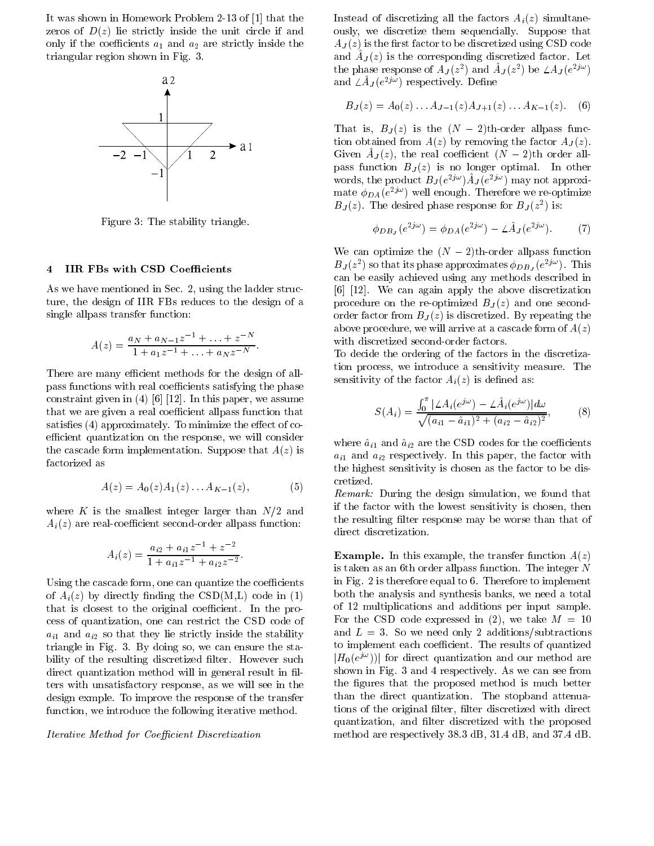It was shown in Homework Problem 2-13 of [1] that the zeros of  $D(z)$  lie strictly inside the unit circle if and only if the coefficients  $a_1$  and  $a_2$  are strictly inside the triangular region shown in Fig. 3.



Figure 3: The stability triangle.

## 4 IIR FBs with CSD Coefficients

As we have mentioned in Sec. 2, using the ladder structure, the design of IIR FBs reduces to the design of a single allpass transfer function:

$$
A(z) = \frac{a_N + a_{N-1}z^{-1} + \ldots + z^{-N}}{1 + a_1 z^{-1} + \ldots + a_N z^{-N}}.
$$

There are many efficient methods for the design of allpass functions with real coefficients satisfying the phase constraint given in (4) [6] [12]. In this paper, we assume that we are given a real coefficient allpass function that satisfies  $(4)$  approximately. To minimize the effect of coefficient quantization on the response, we will consider the cascade form implementation. Suppose that  $A(z)$  is factorized as

$$
A(z) = A_0(z)A_1(z) \dots A_{K-1}(z), \tag{5}
$$

where K is the smallest integer larger than  $N/2$  and  $A_i(z)$  are real-coefficient second-order allpass function:

$$
A_i(z) = \frac{a_{i2} + a_{i1}z^{-1} + z^{-2}}{1 + a_{i1}z^{-1} + a_{i2}z^{-2}}.
$$

Using the cascade form, one can quantize the coefficients of  $A_i(z)$  by directly finding the CSD(M,L) code in (1) that is closest to the original coefficient. In the process of quantization, one can restrict the CSD code of  $a_{i1}$  and  $a_{i2}$  so that they lie strictly inside the stability triangle in Fig. 3. By doing so, we can ensure the stability of the resulting discretized filter. However such direct quantization method will in general result in filters with unsatisfactory response, as we will see in the design exmple. To improve the response of the transfer function, we introduce the following iterative method.

#### Iterative Method for Coefficient Discretization

Instead of discretizing all the factors  $A_i(z)$  simultaneously, we discretize them sequencially. Suppose that  $A_J(z)$  is the first factor to be discretized using CSD code and  $\Delta J(z)$  is the corresponding discretized factor. Let the phase response of  $AJ(z^-)$  and  $AJ(z^-)$  be  $\triangle AJ(e^{-j\alpha})$ and  $\angle A_J (e^{-\gamma \cdot \cdot})$  respectively. Denne

$$
B_J(z) = A_0(z) \dots A_{J-1}(z) A_{J+1}(z) \dots A_{K-1}(z). \tag{6}
$$

That is,  $B_J(z)$  is the  $(N-2)$ th-order allpass function obtained from  $A(z)$  by removing the factor  $A_J(z)$ . Given  $A_J(z)$ , the real coefficient  $(N - 2)$ th order allpass function  $B$  ,  $\mu$  is no longer optimal. In other optimal. words, the product  $B_J(e^{-j\alpha})A_J(e^{-j\alpha})$  may not approximate  $\varphi_{DA}(e^{-\varphi})$  well enough. Therefore we re-optimize  $DJ(z)$ . The desired phase response for  $DJ(z^-)$  is:

$$
\phi_{DB_J}(e^{2j\omega}) = \phi_{DA}(e^{2j\omega}) - \angle \hat{A}_J(e^{2j\omega}).\tag{7}
$$

We can optimize the  $(N-2)$ th-order allpass function  $BJ(z^-)$  so that its phase approximates  $\varphi_{DB_J}(e^{-y^{\alpha}})$ . This can be easily achieved using any methods described in [6] [12]. We can again apply the above discretization procedure on the re-optimized  $B_J(z)$  and one secondorder factor from  $B_J(z)$  is discretized. By repeating the above procedure, we will arrive at a cascade form of  $A(z)$ with discretized second-order factors.

To decide the ordering of the factors in the discretization process, we introduce a sensitivity measure. The sensitivity of the factor  $A_i(z)$  is defined as:

$$
S(A_i) = \frac{\int_0^{\pi} |\angle A_i(e^{j\omega}) - \angle \hat{A}_i(e^{j\omega})| d\omega}{\sqrt{(a_{i1} - \hat{a}_{i1})^2 + (a_{i2} - \hat{a}_{i2})^2}},
$$
(8)

where  $\hat{a}_{i1}$  and  $\hat{a}_{i2}$  are the CSD codes for the coefficients  $a_{i1}$  and  $a_{i2}$  respectively. In this paper, the factor with the highest sensitivity is chosen as the factor to be discretized.

Remark: During the design simulation, we found that if the factor with the lowest sensitivity is chosen, then the resulting filter response may be worse than that of direct discretization.

**Example.** In this example, the transfer function  $A(z)$ is taken as an 6th order allpass function. The integer N in Fig. 2 is therefore equal to 6. Therefore to implement both the analysis and synthesis banks, we need a total of 12 multiplications and additions per input sample. For the CSD code expressed in (2), we take  $M = 10$ and  $L = 3$ . So we need only 2 additions/subtractions to implement each coefficient. The results of quantized  $|H_0(e^{j\omega})\rangle$  for direct quantization and our method are shown in Fig. 3 and 4 respectively. As we can see from the figures that the proposed method is much better than the direct quantization. The stopband attenuations of the original filter, filter discretized with direct quantization, and filter discretized with the proposed method are respectively 38.3 dB, 31.4 dB, and 37.4 dB.